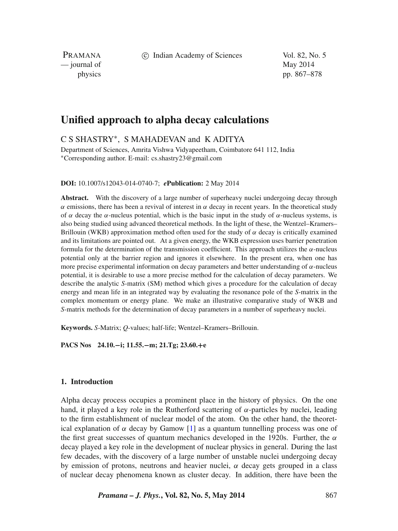c Indian Academy of Sciences Vol. 82, No. 5

PRAMANA — journal of May 2014

physics pp. 867–878

# **Unified approach to alpha decay calculations**

C S SHASTRY∗, S MAHADEVAN and K ADITYA

Department of Sciences, Amrita Vishwa Vidyapeetham, Coimbatore 641 112, India ∗Corresponding author. E-mail: cs.shastry23@gmail.com

#### **DOI:** 10.1007/s12043-014-0740-7; *e***Publication:** 2 May 2014

Abstract. With the discovery of a large number of superheavy nuclei undergoing decay through *α* emissions, there has been a revival of interest in *α* decay in recent years. In the theoretical study of *α* decay the *α*-nucleus potential, which is the basic input in the study of *α*-nucleus systems, is also being studied using advanced theoretical methods. In the light of these, the Wentzel–Kramers– Brillouin (WKB) approximation method often used for the study of *α* decay is critically examined and its limitations are pointed out. At a given energy, the WKB expression uses barrier penetration formula for the determination of the transmission coefficient. This approach utilizes the *α*-nucleus potential only at the barrier region and ignores it elsewhere. In the present era, when one has more precise experimental information on decay parameters and better understanding of *α*-nucleus potential, it is desirable to use a more precise method for the calculation of decay parameters. We describe the analytic *S*-matrix (SM) method which gives a procedure for the calculation of decay energy and mean life in an integrated way by evaluating the resonance pole of the *S*-matrix in the complex momentum or energy plane. We make an illustrative comparative study of WKB and *S*-matrix methods for the determination of decay parameters in a number of superheavy nuclei.

**Keywords.** *S*-Matrix; *Q*-values; half-life; Wentzel–Kramers–Brillouin.

**PACS Nos 24.10.−i; 11.55.−m; 21.Tg; 23.60.+e**

## **1. Introduction**

Alpha decay process occupies a prominent place in the history of physics. On the one hand, it played a key role in the Rutherford scattering of  $\alpha$ -particles by nuclei, leading to the firm establishment of nuclear model of the atom. On the other hand, the theoretical explanation of  $\alpha$  decay by Gamow [\[1\]](#page-10-0) as a quantum tunnelling process was one of the first great successes of quantum mechanics developed in the 1920s. Further, the *α* decay played a key role in the development of nuclear physics in general. During the last few decades, with the discovery of a large number of unstable nuclei undergoing decay by emission of protons, neutrons and heavier nuclei,  $\alpha$  decay gets grouped in a class of nuclear decay phenomena known as cluster decay. In addition, there have been the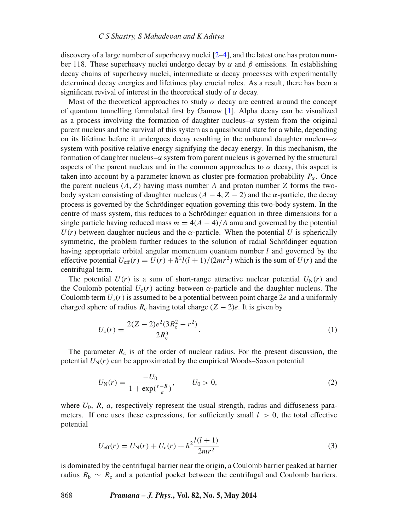#### *C S Shastry, S Mahadevan and K Aditya*

discovery of a large number of superheavy nuclei [\[2–](#page-10-1)[4\]](#page-10-2), and the latest one has proton number 118. These superheavy nuclei undergo decay by *α* and *β* emissions. In establishing decay chains of superheavy nuclei, intermediate  $\alpha$  decay processes with experimentally determined decay energies and lifetimes play crucial roles. As a result, there has been a significant revival of interest in the theoretical study of *α* decay.

Most of the theoretical approaches to study  $\alpha$  decay are centred around the concept of quantum tunnelling formulated first by Gamow [\[1\]](#page-10-0). Alpha decay can be visualized as a process involving the formation of daughter nucleus– $\alpha$  system from the original parent nucleus and the survival of this system as a quasibound state for a while, depending on its lifetime before it undergoes decay resulting in the unbound daughter nucleus–*α* system with positive relative energy signifying the decay energy. In this mechanism, the formation of daughter nucleus– $\alpha$  system from parent nucleus is governed by the structural aspects of the parent nucleus and in the common approaches to  $\alpha$  decay, this aspect is taken into account by a parameter known as cluster pre-formation probability  $P_{\alpha}$ . Once the parent nucleus  $(A, Z)$  having mass number *A* and proton number *Z* forms the twobody system consisting of daughter nucleus ( $A - 4$ ,  $Z - 2$ ) and the  $\alpha$ -particle, the decay process is governed by the Schrödinger equation governing this two-body system. In the centre of mass system, this reduces to a Schrödinger equation in three dimensions for a single particle having reduced mass  $m = 4(A - 4)/A$  amu and governed by the potential  $U(r)$  between daughter nucleus and the  $\alpha$ -particle. When the potential *U* is spherically symmetric, the problem further reduces to the solution of radial Schrödinger equation having appropriate orbital angular momentum quantum number *l* and governed by the effective potential  $U_{\text{eff}}(r) = U(r) + \hbar^2 l(l+1)/(2mr^2)$  which is the sum of  $U(r)$  and the centrifugal term.

The potential  $U(r)$  is a sum of short-range attractive nuclear potential  $U_N(r)$  and the Coulomb potential  $U_c(r)$  acting between  $\alpha$ -particle and the daughter nucleus. The Coulomb term  $U_c(r)$  is assumed to be a potential between point charge 2*e* and a uniformly charged sphere of radius  $R_c$  having total charge  $(Z - 2)e$ . It is given by

$$
U_{c}(r) = \frac{2(Z - 2)e^{2}(3R_{c}^{2} - r^{2})}{2R_{c}^{3}}.
$$
\n(1)

The parameter  $R_c$  is of the order of nuclear radius. For the present discussion, the potential  $U_N(r)$  can be approximated by the empirical Woods–Saxon potential

$$
U_{\rm N}(r) = \frac{-U_0}{1 + \exp(\frac{r - R}{a})}, \qquad U_0 > 0,
$$
\n(2)

where  $U_0$ ,  $R$ ,  $a$ , respectively represent the usual strength, radius and diffuseness parameters. If one uses these expressions, for sufficiently small  $l > 0$ , the total effective potential

$$
U_{\text{eff}}(r) = U_{\text{N}}(r) + U_{\text{c}}(r) + \hbar^2 \frac{l(l+1)}{2mr^2}
$$
\n(3)

is dominated by the centrifugal barrier near the origin, a Coulomb barrier peaked at barrier radius  $R_b \sim R_c$  and a potential pocket between the centrifugal and Coulomb barriers.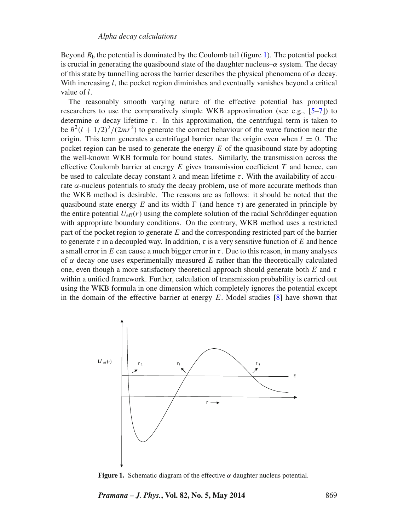Beyond  $R<sub>b</sub>$  the potential is dominated by the Coulomb tail (figure [1\)](#page-2-0). The potential pocket is crucial in generating the quasibound state of the daughter nucleus–*α* system. The decay of this state by tunnelling across the barrier describes the physical phenomena of  $\alpha$  decay. With increasing *l*, the pocket region diminishes and eventually vanishes beyond a critical value of *l*.

The reasonably smooth varying nature of the effective potential has prompted researchers to use the comparatively simple WKB approximation (see e.g.,  $[5-7]$  $[5-7]$ ) to determine  $\alpha$  decay lifetime  $\tau$ . In this approximation, the centrifugal term is taken to be  $h^2(l + 1/2)^2/(2mr^2)$  to generate the correct behaviour of the wave function near the origin. This term generates a centrifugal barrier near the origin even when  $l = 0$ . The pocket region can be used to generate the energy *E* of the quasibound state by adopting the well-known WKB formula for bound states. Similarly, the transmission across the effective Coulomb barrier at energy *E* gives transmission coefficient *T* and hence, can be used to calculate decay constant  $\lambda$  and mean lifetime  $\tau$ . With the availability of accurate  $\alpha$ -nucleus potentials to study the decay problem, use of more accurate methods than the WKB method is desirable. The reasons are as follows: it should be noted that the quasibound state energy E and its width  $\Gamma$  (and hence  $\tau$ ) are generated in principle by the entire potential  $U_{\text{eff}}(r)$  using the complete solution of the radial Schrödinger equation with appropriate boundary conditions. On the contrary, WKB method uses a restricted part of the pocket region to generate *E* and the corresponding restricted part of the barrier to generate *τ* in a decoupled way. In addition, *τ* is a very sensitive function of *E* and hence a small error in *E* can cause a much bigger error in  $\tau$ . Due to this reason, in many analyses of  $\alpha$  decay one uses experimentally measured *E* rather than the theoretically calculated one, even though a more satisfactory theoretical approach should generate both *E* and *τ* within a unified framework. Further, calculation of transmission probability is carried out using the WKB formula in one dimension which completely ignores the potential except in the domain of the effective barrier at energy *E*. Model studies [\[8\]](#page-10-5) have shown that

<span id="page-2-0"></span>

**Figure 1.** Schematic diagram of the effective *α* daughter nucleus potential.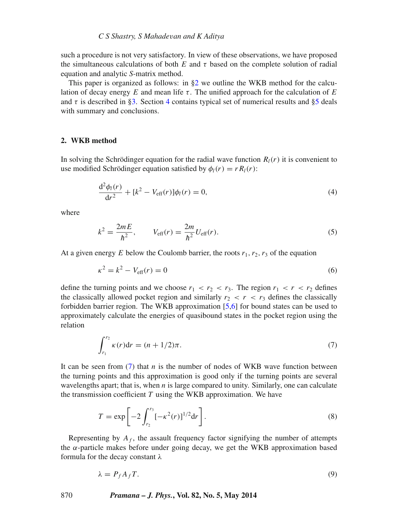such a procedure is not very satisfactory. In view of these observations, we have proposed the simultaneous calculations of both *E* and *τ* based on the complete solution of radial equation and analytic *S*-matrix method.

This paper is organized as follows: in [§2](#page-3-0) we outline the WKB method for the calculation of decay energy  $E$  and mean life  $\tau$ . The unified approach for the calculation of  $E$ and  $\tau$  is described in [§3.](#page-4-0) Section [4](#page-7-0) contains typical set of numerical results and [§5](#page-9-0) deals with summary and conclusions.

#### <span id="page-3-0"></span>**2. WKB method**

In solving the Schrödinger equation for the radial wave function  $R_l(r)$  it is convenient to use modified Schrödinger equation satisfied by  $\phi_l(r) = rR_l(r)$ :

<span id="page-3-3"></span>
$$
\frac{d^2\phi_l(r)}{dr^2} + [k^2 - V_{\text{eff}}(r)]\phi_l(r) = 0,
$$
\n(4)

where

$$
k^{2} = \frac{2mE}{\hbar^{2}}, \qquad V_{\text{eff}}(r) = \frac{2m}{\hbar^{2}} U_{\text{eff}}(r).
$$
 (5)

At a given energy *E* below the Coulomb barrier, the roots  $r_1, r_2, r_3$  of the equation

$$
\kappa^2 = k^2 - V_{\text{eff}}(r) = 0\tag{6}
$$

define the turning points and we choose  $r_1 < r_2 < r_3$ . The region  $r_1 < r < r_2$  defines the classically allowed pocket region and similarly  $r_2 < r < r_3$  defines the classically forbidden barrier region. The WKB approximation [\[5,](#page-10-3)[6\]](#page-10-6) for bound states can be used to approximately calculate the energies of quasibound states in the pocket region using the relation

<span id="page-3-1"></span>
$$
\int_{r_1}^{r_2} \kappa(r) dr = (n + 1/2)\pi.
$$
 (7)

It can be seen from [\(7\)](#page-3-1) that *n* is the number of nodes of WKB wave function between the turning points and this approximation is good only if the turning points are several wavelengths apart; that is, when *n* is large compared to unity. Similarly, one can calculate the transmission coefficient  $T$  using the WKB approximation. We have

<span id="page-3-2"></span>
$$
T = \exp\left[-2\int_{r_2}^{r_3} [-\kappa^2(r)]^{1/2} dr\right].
$$
 (8)

Representing by  $A_f$ , the assault frequency factor signifying the number of attempts the *α*-particle makes before under going decay, we get the WKB approximation based formula for the decay constant *λ*

$$
\lambda = P_f A_f T. \tag{9}
$$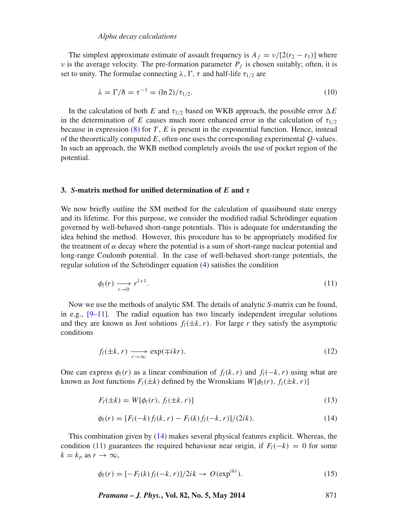#### *Alpha decay calculations*

The simplest approximate estimate of assault frequency is  $A_f = v/[2(r_2 - r_1)]$  where *ν* is the average velocity. The pre-formation parameter  $P_f$  is chosen suitably; often, it is set to unity. The formulae connecting  $\lambda$ ,  $\Gamma$ ,  $\tau$  and half-life  $\tau_{1/2}$  are

$$
\lambda = \Gamma/\hbar = \tau^{-1} = (\ln 2)/\tau_{1/2}.
$$
 (10)

In the calculation of both *E* and  $\tau_{1/2}$  based on WKB approach, the possible error  $\Delta E$ in the determination of *E* causes much more enhanced error in the calculation of  $\tau_{1/2}$ because in expression [\(8\)](#page-3-2) for *T* , *E* is present in the exponential function. Hence, instead of the theoretically computed *E*, often one uses the corresponding experimental *Q*-values. In such an approach, the WKB method completely avoids the use of pocket region of the potential.

#### <span id="page-4-0"></span>**3.** *S***-matrix method for unified determination of** *E* **and** *τ*

We now briefly outline the SM method for the calculation of quasibound state energy and its lifetime. For this purpose, we consider the modified radial Schrödinger equation governed by well-behaved short-range potentials. This is adequate for understanding the idea behind the method. However, this procedure has to be appropriately modified for the treatment of  $\alpha$  decay where the potential is a sum of short-range nuclear potential and long-range Coulomb potential. In the case of well-behaved short-range potentials, the regular solution of the Schrödinger equation [\(4\)](#page-3-3) satisfies the condition

<span id="page-4-2"></span>
$$
\phi_l(r) \xrightarrow[r \to 0]{} r^{l+1}.\tag{11}
$$

Now we use the methods of analytic SM. The details of analytic *S*-matrix can be found, in e.g.,  $[9-11]$  $[9-11]$ . The radial equation has two linearly independent irregular solutions and they are known as Jost solutions  $f_l(\pm k, r)$ . For large *r* they satisfy the asymptotic conditions

$$
f_l(\pm k, r) \xrightarrow[r \to \infty]{} \exp(\mp ikr). \tag{12}
$$

One can express  $\phi_l(r)$  as a linear combination of  $f_l(k, r)$  and  $f_l(-k, r)$  using what are known as Jost functions  $F_l(\pm k)$  defined by the Wronskians  $W[\phi_l(r), f_l(\pm k, r)]$ 

$$
F_l(\pm k) = W[\phi_l(r), f_l(\pm k, r)] \tag{13}
$$

$$
\phi_l(r) = [F_l(-k) f_l(k, r) - F_l(k) f_l(-k, r)]/(2ik). \tag{14}
$$

<span id="page-4-1"></span>This combination given by [\(14\)](#page-4-1) makes several physical features explicit. Whereas, the condition [\(11\)](#page-4-2) guarantees the required behaviour near origin, if  $F_l(-k) = 0$  for some  $k = k_p$  as  $r \to \infty$ ,

$$
\phi_l(r) = [-F_l(k) f_l(-k, r)]/2ik \to O(\exp^{ikr}).
$$
\n(15)

*Pramana – J. Phys.***, Vol. 82, No. 5, May 2014** 871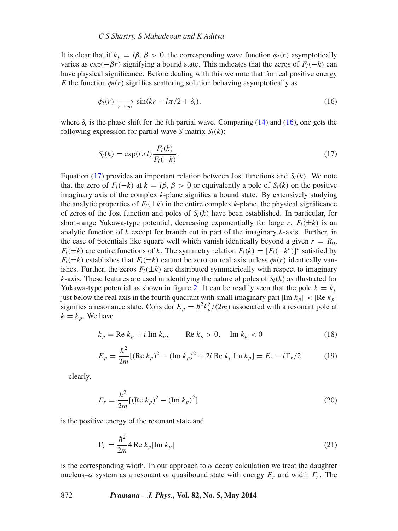#### *C S Shastry, S Mahadevan and K Aditya*

It is clear that if  $k_p = i\beta$ ,  $\beta > 0$ , the corresponding wave function  $\phi_l(r)$  asymptotically varies as  $exp(-\beta r)$  signifying a bound state. This indicates that the zeros of  $F_l(-k)$  can have physical significance. Before dealing with this we note that for real positive energy *E* the function  $\phi_l(r)$  signifies scattering solution behaving asymptotically as

<span id="page-5-0"></span>
$$
\phi_l(r) \xrightarrow[r \to \infty]{} \sin(kr - l\pi/2 + \delta_l),\tag{16}
$$

where  $\delta_l$  is the phase shift for the *l*th partial wave. Comparing [\(14\)](#page-4-1) and [\(16\)](#page-5-0), one gets the following expression for partial wave *S*-matrix  $S_l(k)$ :

<span id="page-5-1"></span>
$$
S_l(k) = \exp(i\pi l) \frac{F_l(k)}{F_l(-k)}.\tag{17}
$$

Equation [\(17\)](#page-5-1) provides an important relation between Jost functions and  $S_l(k)$ . We note that the zero of  $F_l(-k)$  at  $k = i\beta$ ,  $\beta > 0$  or equivalently a pole of  $S_l(k)$  on the positive imaginary axis of the complex *k*-plane signifies a bound state. By extensively studying the analytic properties of  $F_l(\pm k)$  in the entire complex *k*-plane, the physical significance of zeros of the Jost function and poles of  $S_l(k)$  have been established. In particular, for short-range Yukawa-type potential, decreasing exponentially for large *r*,  $F_l(\pm k)$  is an analytic function of *k* except for branch cut in part of the imaginary *k*-axis. Further, in the case of potentials like square well which vanish identically beyond a given  $r = R_0$ , *Fl*( $\pm k$ ) are entire functions of *k*. The symmetry relation *Fl*( $k$ ) = [*Fl*( $-k$ <sup>\*</sup>)]<sup>\*</sup> satisfied by  $F_l(\pm k)$  establishes that  $F_l(\pm k)$  cannot be zero on real axis unless  $\phi_l(r)$  identically vanishes. Further, the zeros  $F_l(\pm k)$  are distributed symmetrically with respect to imaginary *k*-axis. These features are used in identifying the nature of poles of  $S_l(k)$  as illustrated for Yukawa-type potential as shown in figure [2.](#page-6-0) It can be readily seen that the pole  $k = k_p$ just below the real axis in the fourth quadrant with small imaginary part  $|\text{Im } k_p| < |\text{Re } k_p|$ signifies a resonance state. Consider  $E_p = \hbar^2 k_p^2/(2m)$  associated with a resonant pole at  $k = k_p$ . We have

$$
k_p = \text{Re } k_p + i \text{ Im } k_p, \qquad \text{Re } k_p > 0, \quad \text{Im } k_p < 0 \tag{18}
$$

$$
E_p = \frac{\hbar^2}{2m} [(\text{Re } k_p)^2 - (\text{Im } k_p)^2 + 2i \text{ Re } k_p \text{ Im } k_p] = E_r - i \Gamma_r / 2 \tag{19}
$$

clearly,

$$
E_r = \frac{\hbar^2}{2m} [(\text{Re } k_p)^2 - (\text{Im } k_p)^2]
$$
 (20)

is the positive energy of the resonant state and

$$
\Gamma_r = \frac{\hbar^2}{2m} 4 \operatorname{Re} k_p |\operatorname{Im} k_p|
$$
 (21)

is the corresponding width. In our approach to  $\alpha$  decay calculation we treat the daughter nucleus–*α* system as a resonant or quasibound state with energy *Er* and width *Γr*. The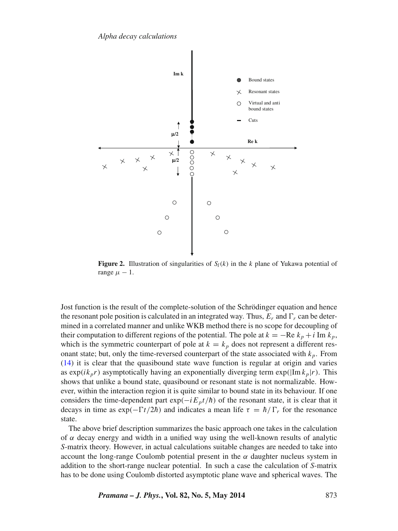<span id="page-6-0"></span>

**Figure 2.** Illustration of singularities of  $S_l(k)$  in the *k* plane of Yukawa potential of range  $\mu - 1$ .

Jost function is the result of the complete-solution of the Schrödinger equation and hence the resonant pole position is calculated in an integrated way. Thus,  $E_r$  and  $\Gamma_r$  can be determined in a correlated manner and unlike WKB method there is no scope for decoupling of their computation to different regions of the potential. The pole at  $k = -\text{Re } k_p + i \text{Im } k_p$ , which is the symmetric counterpart of pole at  $k = k_p$  does not represent a different resonant state; but, only the time-reversed counterpart of the state associated with  $k_p$ . From [\(14\)](#page-4-1) it is clear that the quasibound state wave function is regular at origin and varies as  $\exp(ik_p r)$  asymptotically having an exponentially diverging term  $\exp(|\text{Im }k_p| r)$ . This shows that unlike a bound state, quasibound or resonant state is not normalizable. However, within the interaction region it is quite similar to bound state in its behaviour. If one considers the time-dependent part  $exp(-iE_p t/\hbar)$  of the resonant state, it is clear that it decays in time as  $\exp(-\Gamma t/2\hbar)$  and indicates a mean life  $\tau = \hbar/\Gamma_r$  for the resonance state.

The above brief description summarizes the basic approach one takes in the calculation of  $\alpha$  decay energy and width in a unified way using the well-known results of analytic *S*-matrix theory. However, in actual calculations suitable changes are needed to take into account the long-range Coulomb potential present in the  $\alpha$  daughter nucleus system in addition to the short-range nuclear potential. In such a case the calculation of *S*-matrix has to be done using Coulomb distorted asymptotic plane wave and spherical waves. The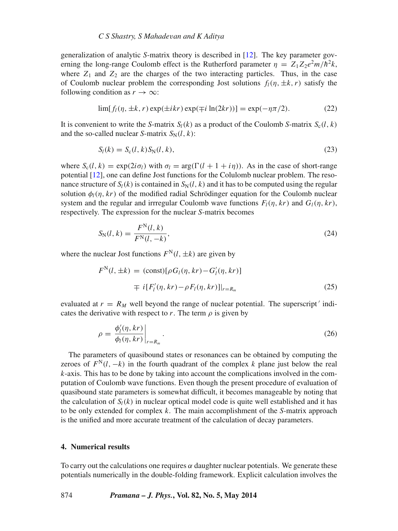generalization of analytic *S*-matrix theory is described in [\[12\]](#page-11-1). The key parameter governing the long-range Coulomb effect is the Rutherford parameter  $\eta = Z_1 Z_2 e^2 m / \hbar^2 k$ , where  $Z_1$  and  $Z_2$  are the charges of the two interacting particles. Thus, in the case of Coulomb nuclear problem the corresponding Jost solutions  $f_l(\eta, \pm k, r)$  satisfy the following condition as  $r \to \infty$ :

$$
\lim[f_l(\eta, \pm k, r) \exp(\pm ikr) \exp(\mp i \ln(2kr))] = \exp(-\eta \pi/2). \tag{22}
$$

It is convenient to write the *S*-matrix  $S_l(k)$  as a product of the Coulomb *S*-matrix  $S_c(l, k)$ and the so-called nuclear *S*-matrix  $S_N(l, k)$ :

$$
S_l(k) = S_c(l, k) S_N(l, k), \qquad (23)
$$

where  $S_c(l, k) = \exp(2i\sigma_l)$  with  $\sigma_l = \arg(\Gamma(l + 1 + i\eta))$ . As in the case of short-range potential [\[12\]](#page-11-1), one can define Jost functions for the Colulomb nuclear problem. The resonance structure of  $S_l(k)$  is contained in  $S_N(l, k)$  and it has to be computed using the regular solution  $\phi_l(n,kr)$  of the modified radial Schrödinger equation for the Coulomb nuclear system and the regular and irrregular Coulomb wave functions  $F_l(\eta,kr)$  and  $G_l(\eta,kr)$ , respectively. The expression for the nuclear *S*-matrix becomes

$$
S_{N}(l,k) = \frac{F^{N}(l,k)}{F^{N}(l,-k)},
$$
\n(24)

where the nuclear Jost functions  $F^{N}(l, \pm k)$  are given by

$$
F^N(l, \pm k) = (\text{const})[\rho G_l(\eta, kr) - G'_l(\eta, kr)]
$$
  

$$
\mp i[F'_l(\eta, kr) - \rho F_l(\eta, kr)]|_{r=R_m}
$$
 (25)

evaluated at  $r = R_M$  well beyond the range of nuclear potential. The superscript' indicates the derivative with respect to *r*. The term  $\rho$  is given by

$$
\rho = \frac{\phi_l'(\eta, kr)}{\phi_l(\eta, kr)}\bigg|_{r=R_m}.
$$
\n(26)

The parameters of quasibound states or resonances can be obtained by computing the zeroes of  $F^N(l, -k)$  in the fourth quadrant of the complex *k* plane just below the real *k*-axis. This has to be done by taking into account the complications involved in the computation of Coulomb wave functions. Even though the present procedure of evaluation of quasibound state parameters is somewhat difficult, it becomes manageable by noting that the calculation of  $S_l(k)$  in nuclear optical model code is quite well established and it has to be only extended for complex *k*. The main accomplishment of the *S*-matrix approach is the unified and more accurate treatment of the calculation of decay parameters.

## <span id="page-7-0"></span>**4. Numerical results**

To carry out the calculations one requires  $\alpha$  daughter nuclear potentials. We generate these potentials numerically in the double-folding framework. Explicit calculation involves the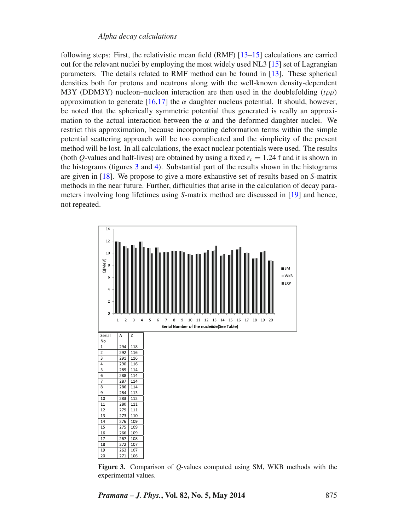following steps: First, the relativistic mean field (RMF) [\[13](#page-11-2)[–15\]](#page-11-3) calculations are carried out for the relevant nuclei by employing the most widely used NL3 [\[15\]](#page-11-3) set of Lagrangian parameters. The details related to RMF method can be found in [\[13\]](#page-11-2). These spherical densities both for protons and neutrons along with the well-known density-dependent M3Y (DDM3Y) nucleon–nucleon interaction are then used in the doublefolding *(tρρ)* approximation to generate  $[16,17]$  $[16,17]$  the  $\alpha$  daughter nucleus potential. It should, however, be noted that the spherically symmetric potential thus generated is really an approximation to the actual interaction between the  $\alpha$  and the deformed daughter nuclei. We restrict this approximation, because incorporating deformation terms within the simple potential scattering approach will be too complicated and the simplicity of the present method will be lost. In all calculations, the exact nuclear potentials were used. The results (both *Q*-values and half-lives) are obtained by using a fixed  $r_c = 1.24$  f and it is shown in the histograms (figures [3](#page-8-0) and [4\)](#page-9-1). Substantial part of the results shown in the histograms are given in [\[18\]](#page-11-6). We propose to give a more exhaustive set of results based on *S*-matrix methods in the near future. Further, difficulties that arise in the calculation of decay parameters involving long lifetimes using *S*-matrix method are discussed in [\[19\]](#page-11-7) and hence, not repeated.

<span id="page-8-0"></span>

**Figure 3.** Comparison of *Q*-values computed using SM, WKB methods with the experimental values.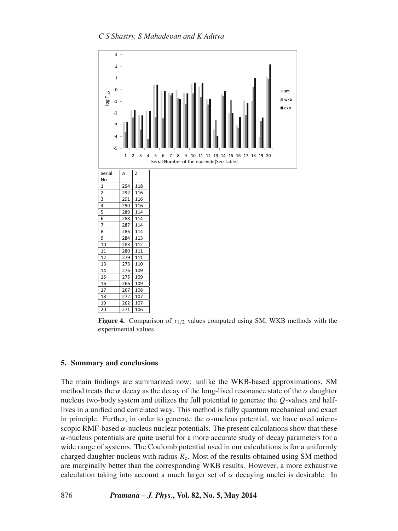<span id="page-9-1"></span>

**Figure 4.** Comparison of  $\tau_{1/2}$  values computed using SM, WKB methods with the experimental values.

# <span id="page-9-0"></span>**5. Summary and conclusions**

The main findings are summarized now: unlike the WKB-based approximations, SM method treats the  $\alpha$  decay as the decay of the long-lived resonance state of the  $\alpha$  daughter nucleus two-body system and utilizes the full potential to generate the *Q*-values and halflives in a unified and correlated way. This method is fully quantum mechanical and exact in principle. Further, in order to generate the  $\alpha$ -nucleus potential, we have used microscopic RMF-based  $\alpha$ -nucleus nuclear potentials. The present calculations show that these *α*-nucleus potentials are quite useful for a more accurate study of decay parameters for a wide range of systems. The Coulomb potential used in our calculations is for a uniformly charged daughter nucleus with radius  $R_c$ . Most of the results obtained using SM method are marginally better than the corresponding WKB results. However, a more exhaustive calculation taking into account a much larger set of  $\alpha$  decaying nuclei is desirable. In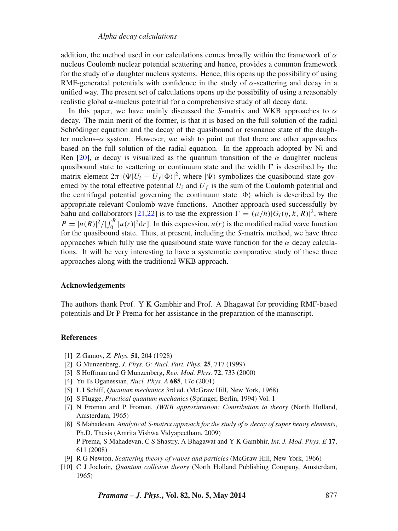## *Alpha decay calculations*

addition, the method used in our calculations comes broadly within the framework of *α* nucleus Coulomb nuclear potential scattering and hence, provides a common framework for the study of  $\alpha$  daughter nucleus systems. Hence, this opens up the possibility of using RMF-generated potentials with confidence in the study of  $\alpha$ -scattering and decay in a unified way. The present set of calculations opens up the possibility of using a reasonably realistic global *α*-nucleus potential for a comprehensive study of all decay data.

In this paper, we have mainly discussed the *S*-matrix and WKB approaches to *α* decay. The main merit of the former, is that it is based on the full solution of the radial Schrödinger equation and the decay of the quasibound or resonance state of the daughter nucleus– $\alpha$  system. However, we wish to point out that there are other approaches based on the full solution of the radial equation. In the approach adopted by Ni and Ren [\[20\]](#page-11-8),  $\alpha$  decay is visualized as the quantum transition of the  $\alpha$  daughter nucleus quasibound state to scattering or continuum state and the width  $\Gamma$  is described by the matrix element  $2\pi |\langle \Psi | U_i - U_f | \Phi \rangle|^2$ , where  $|\Psi \rangle$  symbolizes the quasibound state governed by the total effective potential  $U_i$  and  $U_f$  is the sum of the Coulomb potential and the centrifugal potential governing the continuum state  $|\Phi\rangle$  which is described by the appropriate relevant Coulomb wave functions. Another approach used successfully by Sahu and collaborators [\[21,](#page-11-9)[22\]](#page-11-10) is to use the expression  $\Gamma = (\mu/\hbar) |G_l(\eta, k, R)|^2$ , where  $P = |u(R)|^2 / \left[\int_0^R |u(r)|^2 dr\right]$ . In this expression,  $u(r)$  is the modified radial wave function for the quasibound state. Thus, at present, including the *S*-matrix method, we have three approaches which fully use the quasibound state wave function for the  $\alpha$  decay calculations. It will be very interesting to have a systematic comparative study of these three approaches along with the traditional WKB approach.

#### **Acknowledgements**

The authors thank Prof. Y K Gambhir and Prof. A Bhagawat for providing RMF-based potentials and Dr P Prema for her assistance in the preparation of the manuscript.

#### **References**

- <span id="page-10-0"></span>[1] Z Gamov, *Z. Phys.* **51**, 204 (1928)
- <span id="page-10-1"></span>[2] G Munzenberg, *J. Phys. G: Nucl. Part. Phys.* **25**, 717 (1999)
- [3] S Hoffman and G Munzenberg, *Rev. Mod. Phys.* **72**, 733 (2000)
- <span id="page-10-2"></span>[4] Yu Ts Oganessian, *Nucl. Phys. A* **685**, 17c (2001)
- <span id="page-10-3"></span>[5] L I Schiff, *Quantum mechanics* 3rd ed. (McGraw Hill, New York, 1968)
- <span id="page-10-6"></span>[6] S Flugge, *Practical quantum mechanics* (Springer, Berlin, 1994) Vol. 1
- <span id="page-10-4"></span>[7] N Froman and P Froman, *JWKB approximation: Contribution to theory* (North Holland, Amsterdam, 1965)
- <span id="page-10-5"></span>[8] S Mahadevan, *Analytical S-matrix approach for the study of α decay of super heavy elements*, Ph.D. Thesis (Amrita Vishwa Vidyapeetham, 2009) P Prema, S Mahadevan, C S Shastry, A Bhagawat and Y K Gambhir, *Int. J. Mod. Phys. E* **17**, 611 (2008)
- <span id="page-10-7"></span>[9] R G Newton, *Scattering theory of waves and particles* (McGraw Hill, New York, 1966)
- [10] C J Jochain, *Quantum collision theory* (North Holland Publishing Company, Amsterdam, 1965)